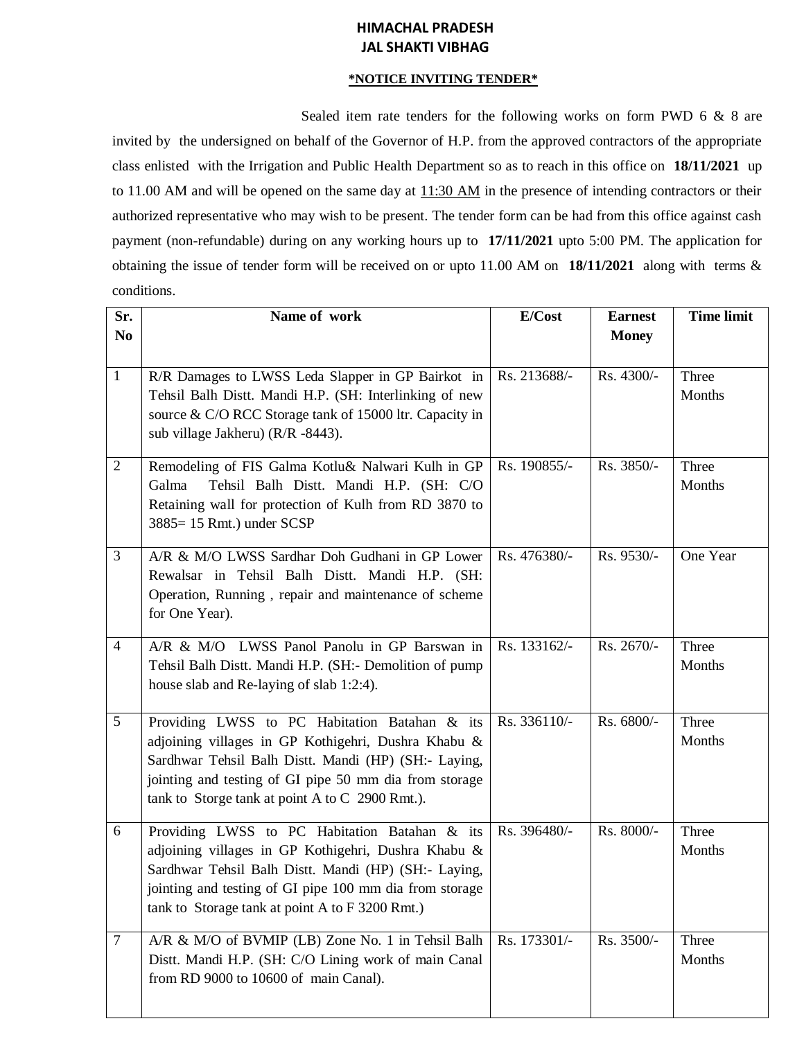# **HIMACHAL PRADESH JAL SHAKTI VIBHAG**

#### **\*NOTICE INVITING TENDER\***

Sealed item rate tenders for the following works on form PWD 6 & 8 are invited by the undersigned on behalf of the Governor of H.P. from the approved contractors of the appropriate class enlisted with the Irrigation and Public Health Department so as to reach in this office on **18/11/2021** up to 11.00 AM and will be opened on the same day at 11:30 AM in the presence of intending contractors or their authorized representative who may wish to be present. The tender form can be had from this office against cash payment (non-refundable) during on any working hours up to **17/11/2021** upto 5:00 PM. The application for obtaining the issue of tender form will be received on or upto 11.00 AM on **18/11/2021** along with terms & conditions.

| Sr.             | Name of work                                                                                                                                                                                                                                                               | E/Cost       | <b>Earnest</b> | <b>Time limit</b> |
|-----------------|----------------------------------------------------------------------------------------------------------------------------------------------------------------------------------------------------------------------------------------------------------------------------|--------------|----------------|-------------------|
| N <sub>0</sub>  |                                                                                                                                                                                                                                                                            |              | <b>Money</b>   |                   |
| $\mathbf{1}$    | R/R Damages to LWSS Leda Slapper in GP Bairkot in<br>Tehsil Balh Distt. Mandi H.P. (SH: Interlinking of new<br>source & C/O RCC Storage tank of 15000 ltr. Capacity in<br>sub village Jakheru) (R/R -8443).                                                                | Rs. 213688/- | Rs. 4300/-     | Three<br>Months   |
| $\overline{2}$  | Remodeling of FIS Galma Kotlu& Nalwari Kulh in GP<br>Galma<br>Tehsil Balh Distt. Mandi H.P. (SH: C/O<br>Retaining wall for protection of Kulh from RD 3870 to<br>3885= 15 Rmt.) under SCSP                                                                                 | Rs. 190855/- | Rs. 3850/-     | Three<br>Months   |
| 3               | A/R & M/O LWSS Sardhar Doh Gudhani in GP Lower<br>Rewalsar in Tehsil Balh Distt. Mandi H.P. (SH:<br>Operation, Running, repair and maintenance of scheme<br>for One Year).                                                                                                 | Rs. 476380/- | Rs. 9530/-     | One Year          |
| $\overline{4}$  | A/R & M/O LWSS Panol Panolu in GP Barswan in<br>Tehsil Balh Distt. Mandi H.P. (SH:- Demolition of pump<br>house slab and Re-laying of slab 1:2:4).                                                                                                                         | Rs. 133162/- | Rs. 2670/-     | Three<br>Months   |
| $5\overline{)}$ | Providing LWSS to PC Habitation Batahan & its<br>adjoining villages in GP Kothigehri, Dushra Khabu &<br>Sardhwar Tehsil Balh Distt. Mandi (HP) (SH:- Laying,<br>jointing and testing of GI pipe 50 mm dia from storage<br>tank to Storge tank at point A to C 2900 Rmt.).  | Rs. 336110/- | Rs. 6800/-     | Three<br>Months   |
| 6               | Providing LWSS to PC Habitation Batahan & its<br>adjoining villages in GP Kothigehri, Dushra Khabu &<br>Sardhwar Tehsil Balh Distt. Mandi (HP) (SH:- Laying,<br>jointing and testing of GI pipe 100 mm dia from storage<br>tank to Storage tank at point A to F 3200 Rmt.) | Rs. 396480/- | Rs. 8000/-     | Three<br>Months   |
| $\tau$          | A/R & M/O of BVMIP (LB) Zone No. 1 in Tehsil Balh<br>Distt. Mandi H.P. (SH: C/O Lining work of main Canal<br>from RD 9000 to 10600 of main Canal).                                                                                                                         | Rs. 173301/- | Rs. 3500/-     | Three<br>Months   |